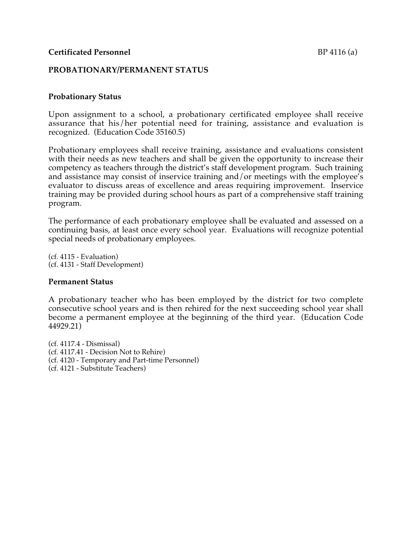## **PROBATIONARY/PERMANENT STATUS**

## **Probationary Status**

Upon assignment to a school, a probationary certificated employee shall receive assurance that his/her potential need for training, assistance and evaluation is recognized. (Education Code 35160.5)

Probationary employees shall receive training, assistance and evaluations consistent with their needs as new teachers and shall be given the opportunity to increase their competency as teachers through the district's staff development program. Such training and assistance may consist of inservice training and/or meetings with the employee's evaluator to discuss areas of excellence and areas requiring improvement. Inservice training may be provided during school hours as part of a comprehensive staff training program.

The performance of each probationary employee shall be evaluated and assessed on a continuing basis, at least once every school year. Evaluations will recognize potential special needs of probationary employees.

(cf. 4115 - Evaluation) (cf. 4131 - Staff Development)

## **Permanent Status**

A probationary teacher who has been employed by the district for two complete consecutive school years and is then rehired for the next succeeding school year shall become a permanent employee at the beginning of the third year. (Education Code 44929.21)

(cf. 4117.4 - Dismissal) (cf. 4117.41 - Decision Not to Rehire) (cf. 4120 - Temporary and Part-time Personnel) (cf. 4121 - Substitute Teachers)